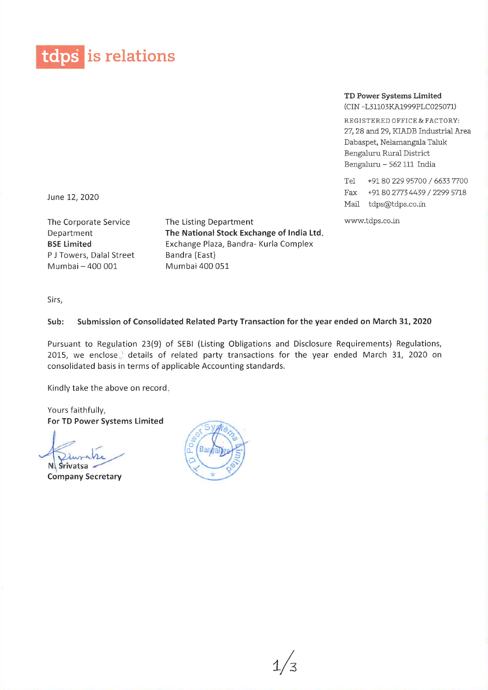

## TD Power Systems Limited

(CIN -L31103KA1999PLC025071)

REGISTERED OFFICE & FACTORY: 27, 28 and 29, KIADB Industrial Area Dabaspet, Nelamangala Taluk Bengaluru Rural District Bengaluru - 562 111 India

Tel +91 80 229 95700 / 6633 7700 Fax +9180 2T/34439 / 2299 5718 Mail tdps@tdps.co.in

www.tdps.co.in

June 12, 2020

The Corporate Service Department BSE Limited P J Towers, Dalal Street Mumbai -400 001

The Listing Department The National Stock Exchange of India Ltd. Exchange Plaza, Sandra- Kurla Complex Bandra (East) Mumbai 400 051

Sirs,

## Sub: Submission of Consolidated Related Party Transaction for the year ended on March 31, 2020

Pursuant to Regulation 23(9) of SESI (Listing Obligations and Disclosure Requirements) Regulations, 2015, we enclose.) details of related party transactions for the year ended March 31, 2020 on consolidated basis in terms of applicable Accounting standards.

Kindly take the above on record.

Yours faithfully, For TD Power Systems Limited

 $\downarrow$ N Srivatsa

Company Secretary

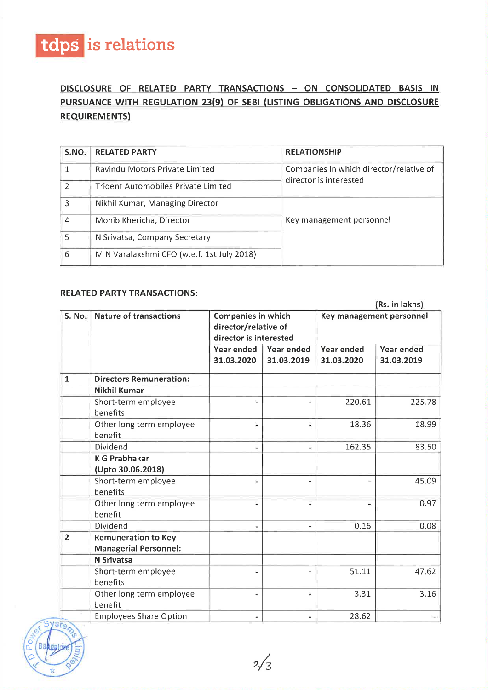

## DISCLOSURE OF RELATED PARTY TRANSACTIONS - ON CONSOLIDATED BASIS IN PURSUANCE WITH REGULATION 23(9) OF SEBI (LISTING OBLIGATIONS AND DISCLOSURE REQUIREMENTS)

| S.NO.         | <b>RELATED PARTY</b>                       | <b>RELATIONSHIP</b>                     |  |  |
|---------------|--------------------------------------------|-----------------------------------------|--|--|
|               | Ravindu Motors Private Limited             | Companies in which director/relative of |  |  |
| $\mathcal{P}$ | <b>Trident Automobiles Private Limited</b> | director is interested                  |  |  |
| 3             | Nikhil Kumar, Managing Director            |                                         |  |  |
| 4             | Mohib Khericha, Director                   | Key management personnel                |  |  |
| 5             | N Srivatsa, Company Secretary              |                                         |  |  |
| 6             | M N Varalakshmi CFO (w.e.f. 1st July 2018) |                                         |  |  |

## RELATED PARTY TRANSACTIONS:

| S. No.         | <b>Nature of transactions</b>                              | <b>Companies in which</b><br>director/relative of<br>director is interested<br>Year ended<br>Year ended |                          | Key management personnel<br><b>Year ended</b><br>Year ended |            |
|----------------|------------------------------------------------------------|---------------------------------------------------------------------------------------------------------|--------------------------|-------------------------------------------------------------|------------|
|                |                                                            |                                                                                                         |                          |                                                             |            |
|                |                                                            |                                                                                                         |                          |                                                             |            |
|                |                                                            | 31.03.2020                                                                                              | 31.03.2019               | 31.03.2020                                                  | 31.03.2019 |
| $\mathbf{1}$   | <b>Directors Remuneration:</b>                             |                                                                                                         |                          |                                                             |            |
|                | <b>Nikhil Kumar</b>                                        |                                                                                                         |                          |                                                             |            |
|                | Short-term employee<br>benefits                            |                                                                                                         | S)                       | 220.61                                                      | 225.78     |
|                | Other long term employee<br>benefit                        | ÷                                                                                                       | Ξ                        | 18.36                                                       | 18.99      |
|                | Dividend                                                   |                                                                                                         | $\overline{\phantom{a}}$ | 162.35                                                      | 83.50      |
|                | <b>K G Prabhakar</b><br>(Upto 30.06.2018)                  |                                                                                                         |                          |                                                             |            |
|                | Short-term employee<br>benefits                            |                                                                                                         | ٠                        | 꿐                                                           | 45.09      |
|                | Other long term employee<br>benefit                        | $\overline{\phantom{a}}$                                                                                | ۰                        | ÷,                                                          | 0.97       |
|                | Dividend                                                   |                                                                                                         |                          | 0.16                                                        | 0.08       |
| $\overline{2}$ | <b>Remuneration to Key</b><br><b>Managerial Personnel:</b> |                                                                                                         |                          |                                                             |            |
|                | <b>N</b> Srivatsa                                          |                                                                                                         |                          |                                                             |            |
|                | Short-term employee<br>benefits                            | W.                                                                                                      |                          | 51.11                                                       | 47.62      |
|                | Other long term employee<br>benefit                        | Щ                                                                                                       | W)                       | 3.31                                                        | 3.16       |
|                | <b>Employees Share Option</b>                              | W.                                                                                                      | W.                       | 28.62                                                       |            |

 $\frac{1}{2}$   $\frac{1}{2}$  0  $\begin{array}{c} \begin{array}{c} \begin{array}{c} \end{array} \\ \begin{array}{c} \end{array} \end{array}$